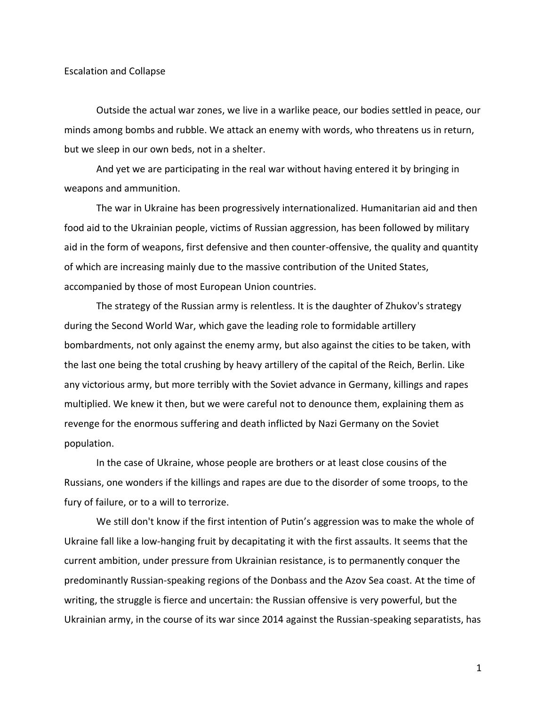## Escalation and Collapse

Outside the actual war zones, we live in a warlike peace, our bodies settled in peace, our minds among bombs and rubble. We attack an enemy with words, who threatens us in return, but we sleep in our own beds, not in a shelter.

And yet we are participating in the real war without having entered it by bringing in weapons and ammunition.

The war in Ukraine has been progressively internationalized. Humanitarian aid and then food aid to the Ukrainian people, victims of Russian aggression, has been followed by military aid in the form of weapons, first defensive and then counter-offensive, the quality and quantity of which are increasing mainly due to the massive contribution of the United States, accompanied by those of most European Union countries.

The strategy of the Russian army is relentless. It is the daughter of Zhukov's strategy during the Second World War, which gave the leading role to formidable artillery bombardments, not only against the enemy army, but also against the cities to be taken, with the last one being the total crushing by heavy artillery of the capital of the Reich, Berlin. Like any victorious army, but more terribly with the Soviet advance in Germany, killings and rapes multiplied. We knew it then, but we were careful not to denounce them, explaining them as revenge for the enormous suffering and death inflicted by Nazi Germany on the Soviet population.

In the case of Ukraine, whose people are brothers or at least close cousins of the Russians, one wonders if the killings and rapes are due to the disorder of some troops, to the fury of failure, or to a will to terrorize.

We still don't know if the first intention of Putin's aggression was to make the whole of Ukraine fall like a low-hanging fruit by decapitating it with the first assaults. It seems that the current ambition, under pressure from Ukrainian resistance, is to permanently conquer the predominantly Russian-speaking regions of the Donbass and the Azov Sea coast. At the time of writing, the struggle is fierce and uncertain: the Russian offensive is very powerful, but the Ukrainian army, in the course of its war since 2014 against the Russian-speaking separatists, has

1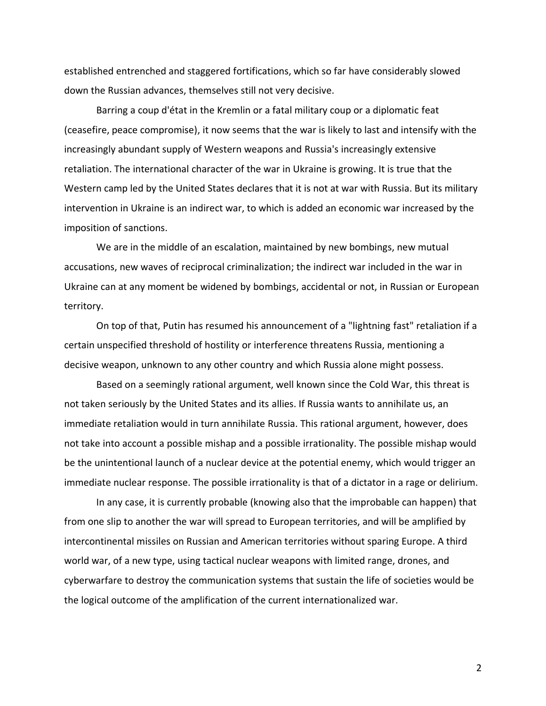established entrenched and staggered fortifications, which so far have considerably slowed down the Russian advances, themselves still not very decisive.

Barring a coup d'état in the Kremlin or a fatal military coup or a diplomatic feat (ceasefire, peace compromise), it now seems that the war is likely to last and intensify with the increasingly abundant supply of Western weapons and Russia's increasingly extensive retaliation. The international character of the war in Ukraine is growing. It is true that the Western camp led by the United States declares that it is not at war with Russia. But its military intervention in Ukraine is an indirect war, to which is added an economic war increased by the imposition of sanctions.

We are in the middle of an escalation, maintained by new bombings, new mutual accusations, new waves of reciprocal criminalization; the indirect war included in the war in Ukraine can at any moment be widened by bombings, accidental or not, in Russian or European territory.

On top of that, Putin has resumed his announcement of a "lightning fast" retaliation if a certain unspecified threshold of hostility or interference threatens Russia, mentioning a decisive weapon, unknown to any other country and which Russia alone might possess.

Based on a seemingly rational argument, well known since the Cold War, this threat is not taken seriously by the United States and its allies. If Russia wants to annihilate us, an immediate retaliation would in turn annihilate Russia. This rational argument, however, does not take into account a possible mishap and a possible irrationality. The possible mishap would be the unintentional launch of a nuclear device at the potential enemy, which would trigger an immediate nuclear response. The possible irrationality is that of a dictator in a rage or delirium.

In any case, it is currently probable (knowing also that the improbable can happen) that from one slip to another the war will spread to European territories, and will be amplified by intercontinental missiles on Russian and American territories without sparing Europe. A third world war, of a new type, using tactical nuclear weapons with limited range, drones, and cyberwarfare to destroy the communication systems that sustain the life of societies would be the logical outcome of the amplification of the current internationalized war.

2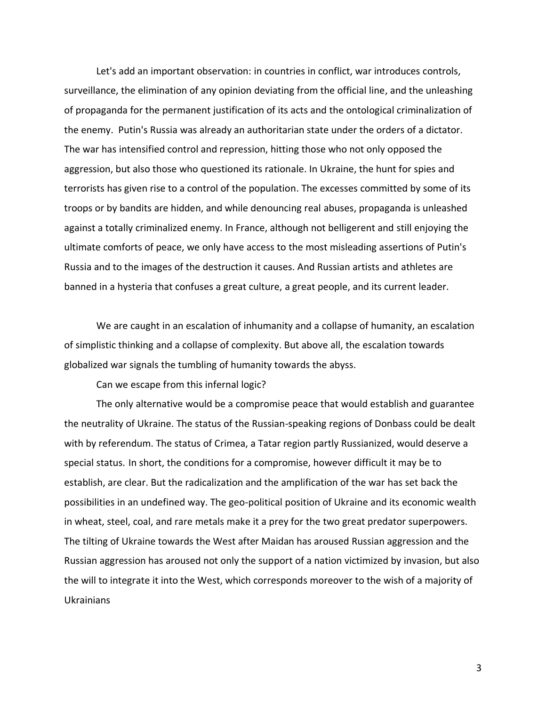Let's add an important observation: in countries in conflict, war introduces controls, surveillance, the elimination of any opinion deviating from the official line, and the unleashing of propaganda for the permanent justification of its acts and the ontological criminalization of the enemy. Putin's Russia was already an authoritarian state under the orders of a dictator. The war has intensified control and repression, hitting those who not only opposed the aggression, but also those who questioned its rationale. In Ukraine, the hunt for spies and terrorists has given rise to a control of the population. The excesses committed by some of its troops or by bandits are hidden, and while denouncing real abuses, propaganda is unleashed against a totally criminalized enemy. In France, although not belligerent and still enjoying the ultimate comforts of peace, we only have access to the most misleading assertions of Putin's Russia and to the images of the destruction it causes. And Russian artists and athletes are banned in a hysteria that confuses a great culture, a great people, and its current leader.

We are caught in an escalation of inhumanity and a collapse of humanity, an escalation of simplistic thinking and a collapse of complexity. But above all, the escalation towards globalized war signals the tumbling of humanity towards the abyss.

Can we escape from this infernal logic?

The only alternative would be a compromise peace that would establish and guarantee the neutrality of Ukraine. The status of the Russian-speaking regions of Donbass could be dealt with by referendum. The status of Crimea, a Tatar region partly Russianized, would deserve a special status. In short, the conditions for a compromise, however difficult it may be to establish, are clear. But the radicalization and the amplification of the war has set back the possibilities in an undefined way. The geo-political position of Ukraine and its economic wealth in wheat, steel, coal, and rare metals make it a prey for the two great predator superpowers. The tilting of Ukraine towards the West after Maidan has aroused Russian aggression and the Russian aggression has aroused not only the support of a nation victimized by invasion, but also the will to integrate it into the West, which corresponds moreover to the wish of a majority of Ukrainians